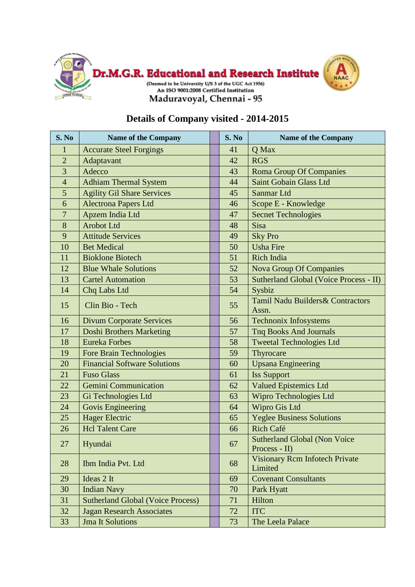

## **Details of Company visited - 2014-2015**

| S. No          | <b>Name of the Company</b>               | S. No | Name of the Company                                  |
|----------------|------------------------------------------|-------|------------------------------------------------------|
| $\mathbf{1}$   | <b>Accurate Steel Forgings</b>           | 41    | Q Max                                                |
| $\overline{2}$ | Adaptavant                               | 42    | <b>RGS</b>                                           |
| $\overline{3}$ | Adecco                                   | 43    | <b>Roma Group Of Companies</b>                       |
| $\overline{4}$ | <b>Adhiam Thermal System</b>             | 44    | <b>Saint Gobain Glass Ltd</b>                        |
| 5              | <b>Agility Gil Share Services</b>        | 45    | Sanmar Ltd                                           |
| 6              | Alectrona Papers Ltd                     | 46    | Scope E - Knowledge                                  |
| $\overline{7}$ | Apzem India Ltd                          | 47    | <b>Secnet Technologies</b>                           |
| 8              | <b>Arobot Ltd</b>                        | 48    | Sisa                                                 |
| 9              | <b>Attitude Services</b>                 | 49    | <b>Sky Pro</b>                                       |
| 10             | <b>Bet Medical</b>                       | 50    | <b>Usha Fire</b>                                     |
| 11             | <b>Bioklone Biotech</b>                  | 51    | Rich India                                           |
| 12             | <b>Blue Whale Solutions</b>              | 52    | <b>Nova Group Of Companies</b>                       |
| 13             | <b>Cartel Automation</b>                 | 53    | <b>Sutherland Global (Voice Process - II)</b>        |
| 14             | Chq Labs Ltd                             | 54    | Sysbiz                                               |
| 15             | Clin Bio - Tech                          | 55    | Tamil Nadu Builders & Contractors<br>Assn.           |
| 16             | <b>Divum Corporate Services</b>          | 56    | <b>Technonix Infosystems</b>                         |
| 17             | <b>Doshi Brothers Marketing</b>          | 57    | <b>Tnq Books And Journals</b>                        |
| 18             | <b>Eureka Forbes</b>                     | 58    | <b>Tweetal Technologies Ltd</b>                      |
| 19             | <b>Fore Brain Technologies</b>           | 59    | Thyrocare                                            |
| 20             | <b>Financial Software Solutions</b>      | 60    | <b>Upsana Engineering</b>                            |
| 21             | <b>Fuso Glass</b>                        | 61    | <b>Iss Support</b>                                   |
| 22             | <b>Gemini Communication</b>              | 62    | <b>Valued Epistemics Ltd</b>                         |
| 23             | Gi Technologies Ltd                      | 63    | Wipro Technologies Ltd                               |
| 24             | Govis Engineering                        | 64    | Wipro Gis Ltd                                        |
| 25             | <b>Hager Electric</b>                    | 65    | <b>Yeglee Business Solutions</b>                     |
| 26             | <b>Hcl Talent Care</b>                   | 66    | Rich Café                                            |
| 27             | Hyundai                                  | 67    | <b>Sutherland Global (Non Voice</b><br>Process - II) |
| 28             | Ibm India Pvt. Ltd                       | 68    | <b>Visionary Rcm Infotech Private</b><br>Limited     |
| 29             | Ideas 2 It                               | 69    | <b>Covenant Consultants</b>                          |
| 30             | <b>Indian Navy</b>                       | 70    | Park Hyatt                                           |
| 31             | <b>Sutherland Global (Voice Process)</b> | 71    | Hilton                                               |
| 32             | <b>Jagan Research Associates</b>         | 72    | <b>ITC</b>                                           |
| 33             | <b>Jma It Solutions</b>                  | 73    | The Leela Palace                                     |